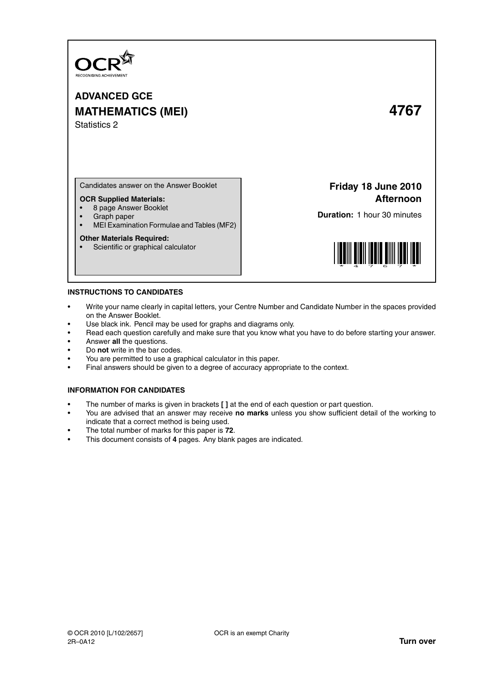

**ADVANCED GCE MATHEMATICS (MEI) 4767** Statistics 2

Candidates answer on the Answer Booklet

# **OCR Supplied Materials:**

- 8 page Answer Booklet
- Graph paper<br>• MELExamina
- MEI Examination Formulae and Tables (MF2)

### **Other Materials Required:**

• Scientific or graphical calculator

**Friday 18 June 2010 Afternoon**

**Duration:** 1 hour 30 minutes



### **INSTRUCTIONS TO CANDIDATES**

- Write your name clearly in capital letters, your Centre Number and Candidate Number in the spaces provided on the Answer Booklet.
- Use black ink. Pencil may be used for graphs and diagrams only.
- Read each question carefully and make sure that you know what you have to do before starting your answer.
- Answer **all** the questions.
- Do **not** write in the bar codes.
- You are permitted to use a graphical calculator in this paper.
- Final answers should be given to a degree of accuracy appropriate to the context.

# **INFORMATION FOR CANDIDATES**

- The number of marks is given in brackets **[ ]** at the end of each question or part question.
- You are advised that an answer may receive **no marks** unless you show sufficient detail of the working to indicate that a correct method is being used.
- The total number of marks for this paper is **72**.
- This document consists of **4** pages. Any blank pages are indicated.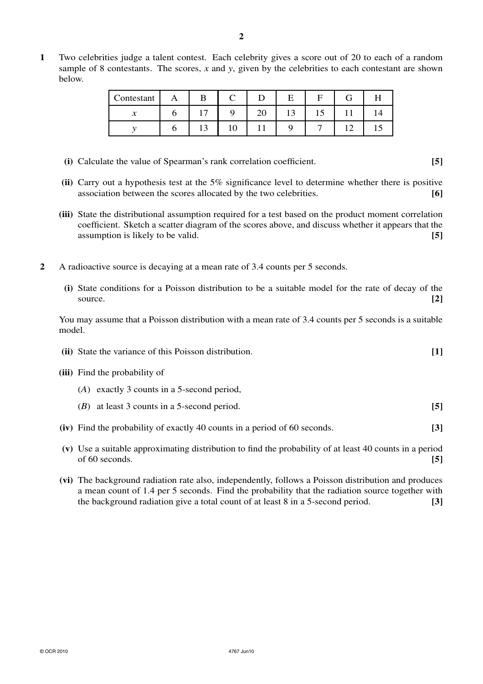**1** Two celebrities judge a talent contest. Each celebrity gives a score out of 20 to each of a random sample of 8 contestants. The scores, *x* and *y*, given by the celebrities to each contestant are shown below.

| Contestant | B              |    |    |                  |    |  |
|------------|----------------|----|----|------------------|----|--|
| ↗          | $\overline{ }$ |    | ∠∪ | $\sqrt{ }$<br>⊥⊃ | 15 |  |
|            | ⊥ J            | ΙV |    |                  |    |  |

- **(i)** Calculate the value of Spearman's rank correlation coefficient. **[5]**
- **(ii)** Carry out a hypothesis test at the 5% significance level to determine whether there is positive association between the scores allocated by the two celebrities. **[6]**
- **(iii)** State the distributional assumption required for a test based on the product moment correlation coefficient. Sketch a scatter diagram of the scores above, and discuss whether it appears that the assumption is likely to be valid. **[5]**
- **2** A radioactive source is decaying at a mean rate of 3.4 counts per 5 seconds.
	- **(i)** State conditions for a Poisson distribution to be a suitable model for the rate of decay of the source. **[2]**

You may assume that a Poisson distribution with a mean rate of 3.4 counts per 5 seconds is a suitable model.

|  | (ii) State the variance of this Poisson distribution. |  |
|--|-------------------------------------------------------|--|
|--|-------------------------------------------------------|--|

- **(iii)** Find the probability of
	- (*A*) exactly 3 counts in a 5-second period,
	- (*B*) at least 3 counts in a 5-second period. **[5]**
- **(iv)** Find the probability of exactly 40 counts in a period of 60 seconds. **[3]**
- **(v)** Use a suitable approximating distribution to find the probability of at least 40 counts in a period of 60 seconds. **[5]**
- **(vi)** The background radiation rate also, independently, follows a Poisson distribution and produces a mean count of 1.4 per 5 seconds. Find the probability that the radiation source together with the background radiation give a total count of at least 8 in a 5-second period. **[3]**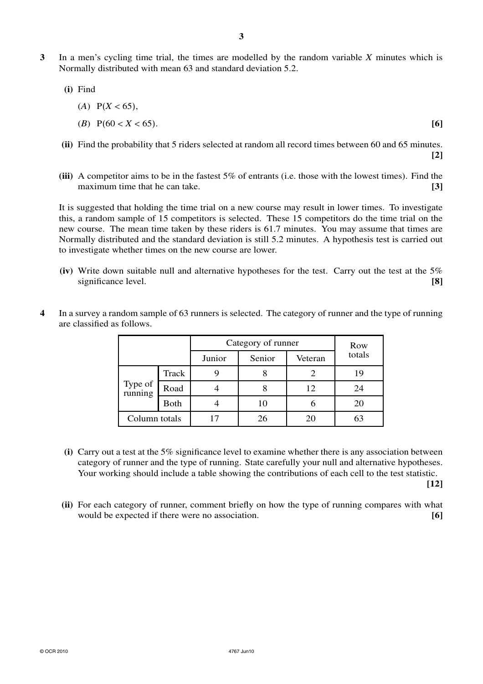- **3** In a men's cycling time trial, the times are modelled by the random variable *X* minutes which is Normally distributed with mean 63 and standard deviation 5.2.
	- **(i)** Find
		- $(A)$  P( $X < 65$ ), (*B*) P(60 < *X* < 65). **[6]**
	- **(ii)** Find the probability that 5 riders selected at random all record times between 60 and 65 minutes. **[2]**
	- **(iii)** A competitor aims to be in the fastest 5% of entrants (i.e. those with the lowest times). Find the maximum time that he can take. **[3]**

It is suggested that holding the time trial on a new course may result in lower times. To investigate this, a random sample of 15 competitors is selected. These 15 competitors do the time trial on the new course. The mean time taken by these riders is 61.7 minutes. You may assume that times are Normally distributed and the standard deviation is still 5.2 minutes. A hypothesis test is carried out to investigate whether times on the new course are lower.

**(iv)** Write down suitable null and alternative hypotheses for the test. Carry out the test at the 5% significance level. **[8]**

|  |                    |             | Category of runner | Row    |         |        |  |
|--|--------------------|-------------|--------------------|--------|---------|--------|--|
|  |                    |             | Junior             | Senior | Veteran | totals |  |
|  | Type of<br>running | Track       |                    |        |         | 19     |  |
|  |                    | Road        |                    |        | 12      | 24     |  |
|  |                    | <b>Both</b> |                    | 10     |         | 20     |  |
|  | Column totals      |             |                    | 26     |         |        |  |

**4** In a survey a random sample of 63 runners is selected. The category of runner and the type of running are classified as follows.

**(i)** Carry out a test at the 5% significance level to examine whether there is any association between category of runner and the type of running. State carefully your null and alternative hypotheses. Your working should include a table showing the contributions of each cell to the test statistic.

**[12]**

**(ii)** For each category of runner, comment briefly on how the type of running compares with what would be expected if there were no association. **[6]**